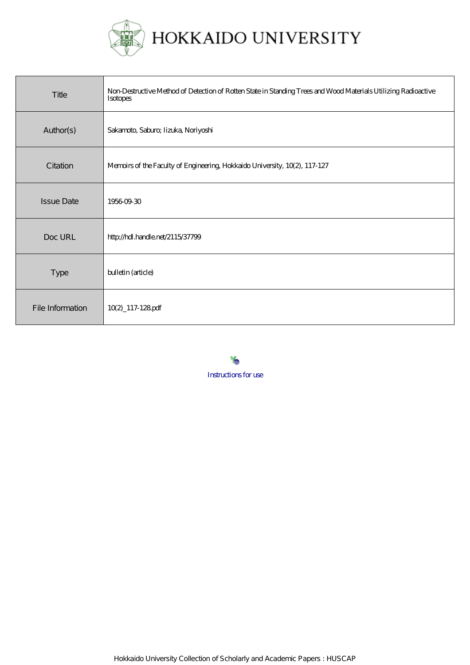

# HOKKAIDO UNIVERSITY

| Title             | Non-Destructive Method of Detection of Rotten State in Standing Trees and Wood Materials Utilizing Radioactive<br><b>Isotopes</b> |
|-------------------|-----------------------------------------------------------------------------------------------------------------------------------|
| Author(s)         | Sakamoto, Saburo; Iizuka, Noriyoshi                                                                                               |
| Citation          | Memoirs of the Faculty of Engineering, Hokkaido University, 10(2), 117-127                                                        |
| <b>Issue Date</b> | 19560930                                                                                                                          |
| Doc URL           | http://hdl.handle.net/2115/37799                                                                                                  |
| Type              | bulletin (article)                                                                                                                |
| File Information  | 10(2)_117-128pdf                                                                                                                  |

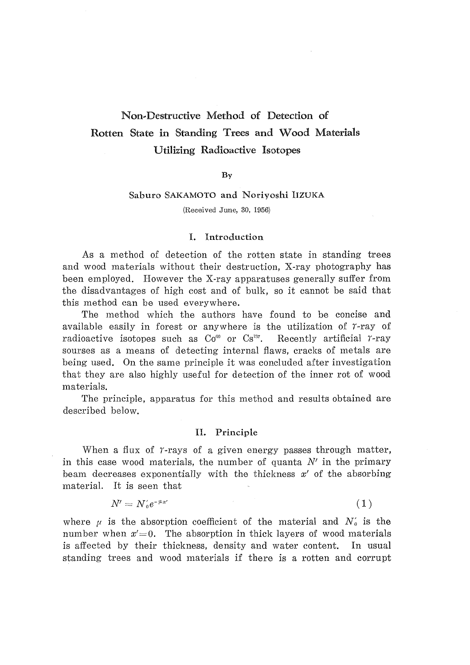# Non-Destructive Method of Detection of Rotten State in Standing Trees and Wood Materials Utilizing Radioactive Isotopes

### By

## Saburo SAKAMOTO and Noriyoshi IIZUKA

(Reeeived June, 30, 1956)

#### I. Introduction

 As a method of deteetion of the rotten state in standing trees and wood materials without their destruetion, X-ray photography has been employed. However the X-ray apparatuses generally suffer from the disadvantages of high eost and of bulk, so it cannot be said that this method ean be used everywhere.

 The method whieh the authors have found to be coneise and available easily in forest or anywhere is the utilization of  $\gamma$ -ray of radioactive isotopes such as  $Co<sup>60</sup>$  or  $Cs<sup>137</sup>$ . Recently artificial  $\gamma$ -ray sourses as a means of detecting internal flaws, cracks of metals are being used. On the same principle it was concluded after investigation that they are also highly useful for detection of the inner rot of wood materials.

The principle, apparatus for this method and results obtained are described below.

#### IL Principle

When a flux of  $\gamma$ -rays of a given energy passes through matter, in this case wood materials, the number of quanta  $N'$  in the primary beam decreases exponentially with the thickness  $x'$  of the absorbing material. It is seen that

$$
N'=N'_{\theta}e^{-\mu_{x'}}\tag{1}
$$

where  $\mu$  is the absorption coefficient of the material and  $N_0$  is the number when  $x'=0$ . The absorption in thick layers of wood materials is affected by their thickness, density and water content. In usual standing trees and wood materials if there is a rotten and corrupt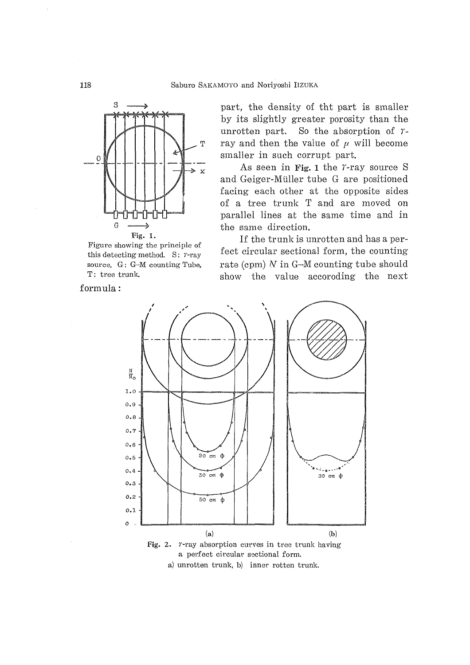

Figure showing the principle of this detecting method.  $S: r$ -ray source, G: G-M counting Tube, T: tree trunk.

#### formula:

part, the density of tht part is smaller by its slightly greater porosity than the unrotten part. So the absorption of  $\tau$ ray and then the value of  $\mu$  will become smaller in such corrupt part.

As seen in Fig. 1 the  $\gamma$ -ray source S and Geiger-Müller tube G are positioned facing each other at the opposite sides of a tree trunk T and are moved on parallel lines at the same time and in the same direction.

If the trunk is unrotten and has a perfect circular sectional form, the counting rate (cpm)  $N$  in G-M counting tube should show the value accoroding the next



a perfect circular sectional form.

a) unrotten trunk, b) inner rotten trunk.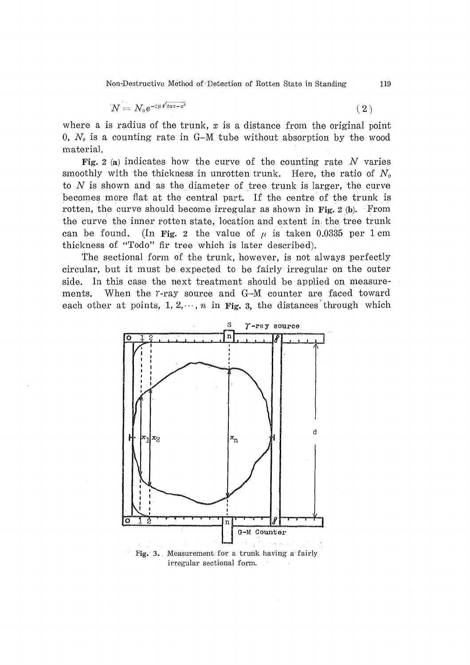Non-Destructive Method of Detection of Rotten State in Standing 119

$$
N = N_0 e^{-2\mu \sqrt{2ax - x^2}} \tag{2}
$$

where a is radius of the trunk,  $x$  is a distance from the original point 0,  $N_0$  is a counting rate in G-M tube without absorption by the wood material.

Fig. 2 (a) indicates how the curve of the counting rate N varies smoothly with the thickness in unrotten trunk. Here, the ratio of  $N_0$ to  $N$  is shown and as the diameter of tree trunk is larger, the curve becomes more flat at the central part. If the centre of the trunk is rotten, the curve should become irregular as shown in Fig. 2 (b). From the curve the inner rotten state, location and extent in the tree trunk can be found. (In Fig. 2 the value of  $\mu$  is taken 0.0335 per 1 cm thickness of "Todo" fir tree which is later described).

 The sectional form of the trunk, however, is not always perfectly cireular, but it must be expected to be fairly irregular on the outer side. In this case the next treatment should be applied on measurements. When the  $\tilde{\tau}$ -ray source and G-M counter are faced toward each other at points, 1, 2,  $\ldots$ , n in Fig. 3, the distances through which



irregular sectional form.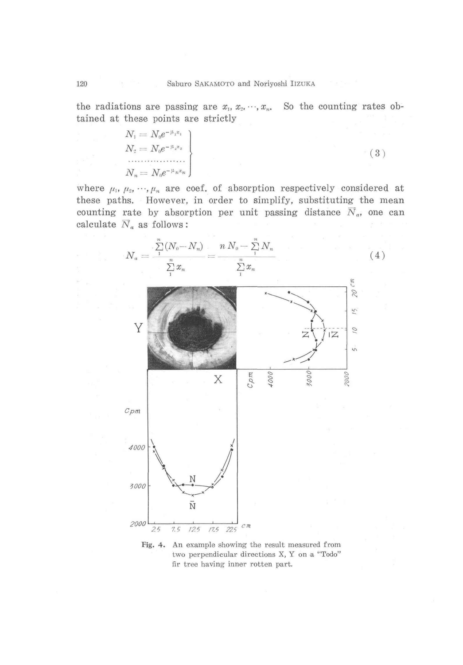the radiations are passing are  $x_1, x_2, \dots, x_n$ . So the counting rates obtained at these points are strictly

$$
\left\{\n\begin{aligned}\nN_1 &= N_0 e^{-\mu_1 x_1} \\
N_2 &= N_0 e^{-\mu_2 x_2} \\
\vdots \\
N_n &= N_0 e^{-\mu_n x_n}\n\end{aligned}\n\right\} \tag{3}
$$

where  $\mu_1, \mu_2, \cdots, \mu_n$  are coef. of absorption respectively considered at these paths. However, in order to simplify, substituting the mean counting rate by absorption per unit passing distance  $\overline{N}_a$ , one can calculate  $\overline{N}_a$  as follows:



An example showing the result measured from Fig.  $4.$ two perpendicular directions X, Y on a "Todo" fir tree having inner rotten part.

120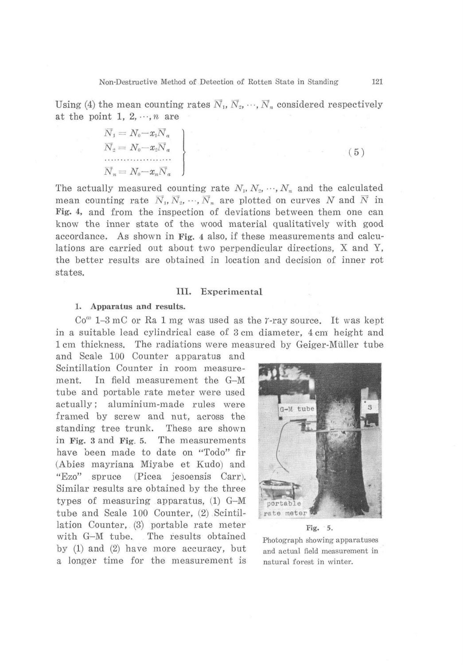Using (4) the mean counting rates  $\overline{N}_1$ ,  $\overline{N}_2$ ,  $\cdots$ ,  $\overline{N}_n$  considered respectively at the point 1,  $2, \dots, n$  are

$$
\begin{aligned}\n\overline{N}_1 &= N_0 - x_1 \overline{N}_a \\
\overline{N}_2 &= N_0 - x_2 \overline{N}_a \\
\vdots \\
\overline{N}_n &= N_0 - x_n \overline{N}_a\n\end{aligned}\n\tag{5}
$$

The actually measured counting rate  $N_1, N_2, \dots, N_n$  and the calculated mean counting rate  $\overline{N}_1, \overline{N}_2, \cdots, \overline{N}_n$  are plotted on curves N and  $\overline{N}$  in Fig. 4, and from the inspection of deviations between them one can know the inner state of the wood material qualitatively with good accordance. As shown in Fig. 4 also, if these measurements and calculations are carried out about two perpendicular directions, X and Y, the better results are obtained in Ioeation and deeision of inner rot states.

#### 11I. Experimental

#### 1. Apparatus and results.

 $Co<sup>60</sup>$  1-3 mC or Ra 1 mg was used as the  $\tau$ -ray source. It was kept in a suitable lead cylindrical case of 3em diameter, 4cm height and 1 cm thickness. The radiations were measured by Geiger-Müller tube

and Scale 100 Counter apparatus and Scintillation Counter in room measurement. In field measurement the G-M tube and portable rate meter were used actually; aluminium-made rules were framed by screw and nut, across the standing tree trunk. These are shown in Fig. 3and Fig. s. The measurements have been made to date on "Todo" fir <Abies mayriana Miyabe et Kudo) and "Ezo" spruce (Picea jesoensis Carr). Similar results are obtained by the three types of measuring apparatus, (1) G-M tube and Scale 100 Counter, (2) Scintillation Counter, (3) portable rate meter with G-M tube. The results obtained by (1) and (2) have more accuracy, but a longer time for the measurement is



Fig.  $5$ . Photograph showing apparatuses and actual field measurement in natural forest in winter.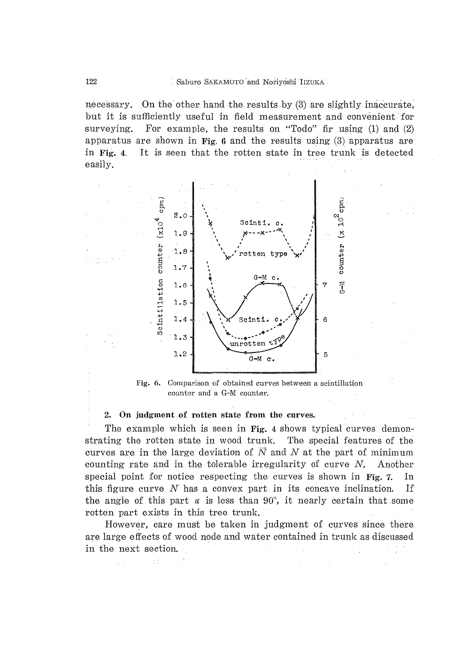necessary. On the other hand the results by (3) are slightly inaccurate, but it is sufficiently useful in field measurement and convenient for For example, the results on "Todo" fir using  $(1)$  and  $(2)$ surveving. apparatus are shown in Fig. 6 and the results using  $(3)$  apparatus are in Fig. 4. It is seen that the rotten state in tree trunk is detected easily.



Fig. 6. Comparison of obtained curves between a scintillation counter and a G-M counter.

#### 2. On judgment of rotten state from the curves.

 $\label{eq:2.1} \begin{array}{ll} \mathbb{E}[\mathcal{L}_{\mathcal{A}}(t)] & \mathbb{E}[\mathcal{L}_{\mathcal{A}}(t)] & \mathbb{E}[\mathcal{L}_{\mathcal{A}}(t)] & \mathbb{E}[\mathcal{L}_{\mathcal{A}}(t)] \end{array}$ 

The example which is seen in Fig. 4 shows typical curves demonstrating the rotten state in wood trunk. The special features of the curves are in the large deviation of  $\overline{N}$  and N at the part of minimum counting rate and in the tolerable irregularity of curve  $N$ . Another special point for notice respecting the curves is shown in Fig. 7. In this figure curve  $N$  has a convex part in its concave inclination. If the angle of this part  $\alpha$  is less than 90°, it nearly certain that some rotten part exists in this tree trunk.

However, care must be taken in judgment of curves since there are large effects of wood node and water contained in trunk as discussed in the next section.  $\mathcal{L}_{\rm{max}}$ 

 $\hat{A}$ 

 $\Delta \sim 10^{11}$  meV  $\Delta \sim$ 

122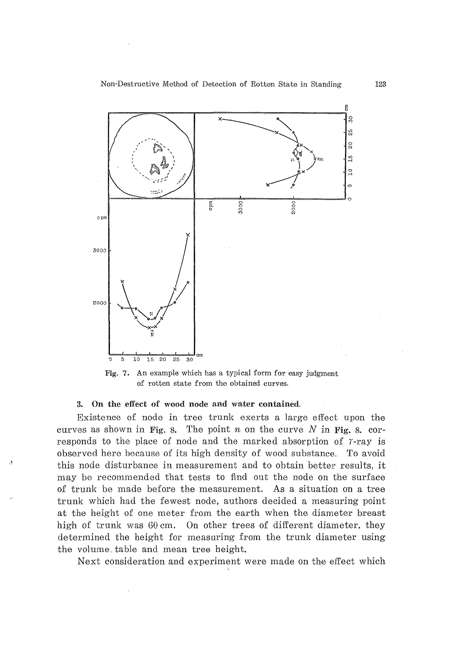

Fig. 7. An example which has a typical form for easy judgment of rotten state from the obtained curves.

#### 3. On the effect of wood node and water contained.

Existence of node in tree trunk exerts a large effect upon the curves as shown in Fig. 8. The point n on the curve N in Fig. 8. corresponds to the place of node and the marked absorption of  $\tau$ -ray is observed here because of its high density of wood substance. To avoid this node disturbance in measurement and to obtain better results, it may be recommended that tests to find out the node on the surface of trunk be made before the measurement. As a situation on a tree trunk which had the fewest node, authors decided a measuring point at the height of one meter from the earth when the diameter breast high of trunk was 60 cm. On other trees of different diameter, they determined the height for measuring from the trunk diameter using the volume table and mean tree height.

Next consideration and experiment were made on the effect which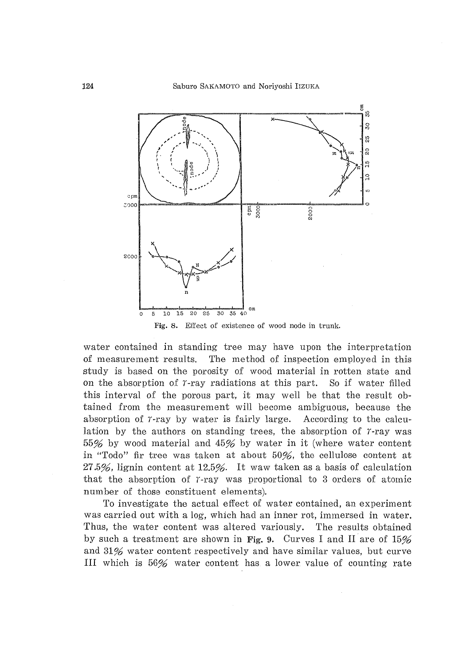

Fig. 8. Effect of existence of wood node in trunk.

water contained in standing tree may have upon the interpretation of measurement results. The method of inspection employed in this study is based on the porosity of wood material in rotten state and on the absorption of  $\gamma$ -ray radiations at this part. So if water filled this interval of the porous part, it may well be that the result obtained from the measurement will become ambiguous, because the absorption of  $\gamma$ -ray by water is fairly large. According to the calculation by the authors on standing trees, the absorption of  $\gamma$ -ray was 55% by wood material and 45% by water in it (where water content in "Todo" fir tree was taken at about 50%, the cellulose content at 27.5%, lignin content at 12.5%. It was taken as a basis of calculation that the absorption of r-ray was proportional to 3 orders of atomic number of those constituent elements).

To investigate the actual effect of water contained, an experiment was carried out with a log, which had an inner rot, immersed in water. Thus, the water content was altered variously. The results obtained by such a treatment are shown in Fig. 9. Curves I and II are of  $15\%$ and 31% water content respectively and have similar values, but curve III which is 56% water content has a lower value of counting rate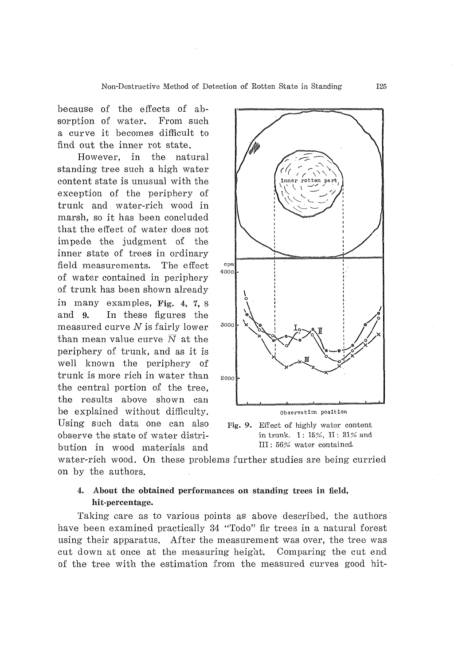because of the effects of absorption of water. From such a curve it becomes difficult to find out the inner rot state.

However, in the natural standing tree such a high water content state is unusual with the exception of the periphery of trunk and water-rich wood in marsh, so it has been concluded that the effect of water does not impede the judgment of the inner state of trees in ordinary field measurements. The effect of water contained in periphery of trunk has been shown already in many examples, Fig. 4, 7, 8 In these figures the and 9. measured curve  $N$  is fairly lower than mean value curve  $\overrightarrow{N}$  at the periphery of trunk, and as it is well known the periphery of trunk is more rich in water than the central portion of the tree. the results above shown can be explained without difficulty. Using such data one can also observe the state of water distribution in wood materials and



Fig. 9. Effect of highly water content in trunk.  $I: 15\%, II: 31\%$  and III: 56% water contained.

water-rich wood. On these problems further studies are being curried on by the authors.

## 4. About the obtained performances on standing trees in field, hit-percentage.

Taking care as to various points as above described, the authors have been examined practically 34 "Todo" fir trees in a natural forest using their apparatus. After the measurement was over, the tree was cut down at once at the measuring height. Comparing the cut end of the tree with the estimation from the measured curves good hit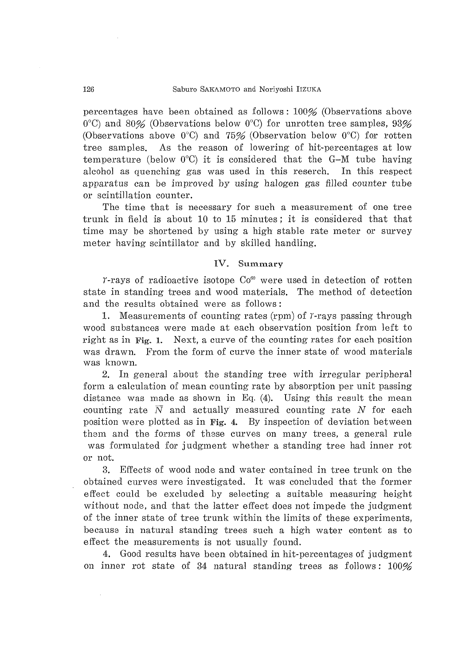percentages have been obtained as £ollows: 100% (Observations above  $0^{\circ}$ C) and 80% (Observations below  $0^{\circ}$ C) for unrotten tree samples, 93% (Observations above  $0^{\circ}$ C) and 75% (Observation below  $0^{\circ}$ C) for rotten tree samples. As the reason of lowering of hit-percentages at low temperature (below  $0^{\circ}$ C) it is considered that the G-M tube having alcohol as quenching gas was used in this reserch, In this respect apparatus can be improved by using halogen gas filled counter tube or scinti]lation counter.

The time that is necessary for such a measurement of one tree trunk in field is about 10 to 15 minutes; it is considered that that time may be shortened by using a high stable rate meter or survey meter having scintillator and by skilled handling.

#### IV. Summary

 $r$ -rays of radioactive isotope  $Co^{60}$  were used in detection of rotten state in standing trees and wood materials. The method of detection and the results obtained were as follows:

 1. Measurements of counting rates (rpm) of r-rays passing through wood substances were made at eaeh observation position from left to right as in Fig. 1. Next, a curve of the counting rates for eaeh position was drawn. From the form of eurve the inner state of wood materials was known.

2. In general about the standing tree with irregular peripheral form a caleulation of mean counting rate by absorption per unit passing distance was made as shown in Eq. (4). Using this result the mean counting rate  $\overline{N}$  and actually measured counting rate N for each position were plotted as in Fig. 4. By inspection of deviation between them and the forms of these curves on many trees, a general rule was formulated for judgment whether a standing tree had inner rot or not.

 3. Effects of wood node and water contained in tree trunk on the obtained eurves were investigated. It was coneluded that the former effeet eould be exeluded by seleeting a suitable measuring height without node, and that the latter effeet does not impede the judgment o£ the inner state of tree trunk within the limits of these experiments, because in natural standing trees such a high water content as to effect the measurements is not usually found,

 4, Good results have been obtained in hit-percentages of judgment on inner rot state of 34 natural standing trees as follows:  $100\%$